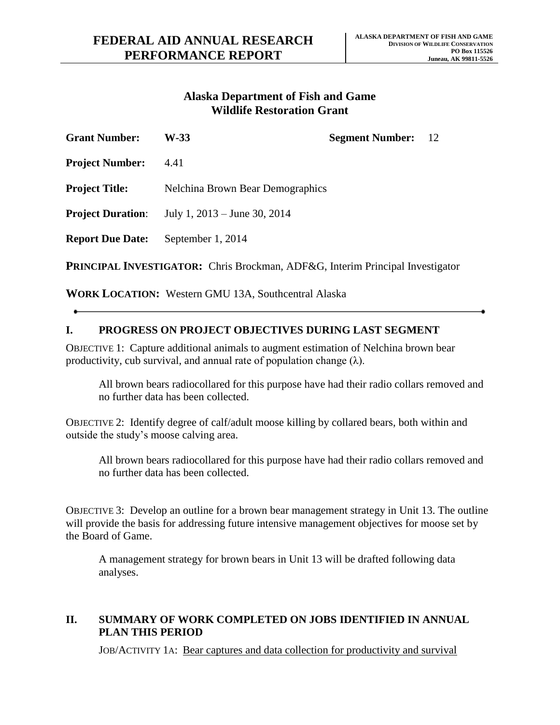## **Alaska Department of Fish and Game Wildlife Restoration Grant**

| <b>Grant Number:</b>                                                                 | W-33                                    | <b>Segment Number:</b> 12 |  |
|--------------------------------------------------------------------------------------|-----------------------------------------|---------------------------|--|
| <b>Project Number:</b>                                                               | 4.41                                    |                           |  |
| <b>Project Title:</b>                                                                | <b>Nelchina Brown Bear Demographics</b> |                           |  |
| <b>Project Duration:</b>                                                             | July 1, $2013 -$ June 30, $2014$        |                           |  |
| <b>Report Due Date:</b>                                                              | September 1, 2014                       |                           |  |
| <b>PRINCIPAL INVESTIGATOR:</b> Chris Brockman, ADF&G, Interim Principal Investigator |                                         |                           |  |

**WORK LOCATION:** Western GMU 13A, Southcentral Alaska

## **I. PROGRESS ON PROJECT OBJECTIVES DURING LAST SEGMENT**

OBJECTIVE 1: Capture additional animals to augment estimation of Nelchina brown bear productivity, cub survival, and annual rate of population change  $(\lambda)$ .

All brown bears radiocollared for this purpose have had their radio collars removed and no further data has been collected.

OBJECTIVE 2: Identify degree of calf/adult moose killing by collared bears, both within and outside the study's moose calving area.

All brown bears radiocollared for this purpose have had their radio collars removed and no further data has been collected.

OBJECTIVE 3: Develop an outline for a brown bear management strategy in Unit 13. The outline will provide the basis for addressing future intensive management objectives for moose set by the Board of Game.

A management strategy for brown bears in Unit 13 will be drafted following data analyses.

## **II. SUMMARY OF WORK COMPLETED ON JOBS IDENTIFIED IN ANNUAL PLAN THIS PERIOD**

JOB/ACTIVITY 1A: Bear captures and data collection for productivity and survival